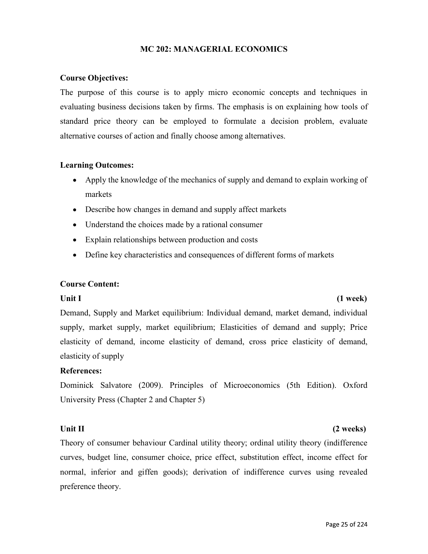## MC 202: MANAGERIAL ECONOMICS

## Course Objectives:

The purpose of this course is to apply micro economic concepts and techniques in evaluating business decisions taken by firms. The emphasis is on explaining how tools of standard price theory can be employed to formulate a decision problem, evaluate alternative courses of action and finally choose among alternatives.

## Learning Outcomes:

- Apply the knowledge of the mechanics of supply and demand to explain working of markets
- Describe how changes in demand and supply affect markets
- Understand the choices made by a rational consumer
- Explain relationships between production and costs
- Define key characteristics and consequences of different forms of markets

## Course Content:

## Unit I (1 week)

Demand, Supply and Market equilibrium: Individual demand, market demand, individual supply, market supply, market equilibrium; Elasticities of demand and supply; Price elasticity of demand, income elasticity of demand, cross price elasticity of demand, elasticity of supply

References:<br>Dominick Salvatore (2009). Principles of Microeconomics (5th Edition). Oxford University Press (Chapter 2 and Chapter 5)

# Unit II (2 weeks)

Theory of consumer behaviour Cardinal utility theory; ordinal utility theory (indifference curves, budget line, consumer choice, price effect, substitution effect, income effect for normal, inferior and giffen goods); derivation of indifference curves using revealed preference theory.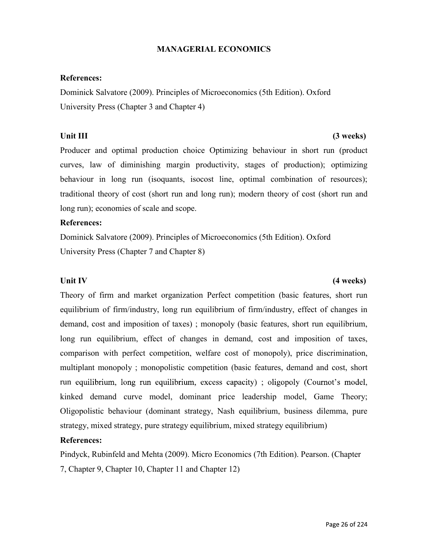## MANAGERIAL ECONOMICS

References:<br>Dominick Salvatore (2009). Principles of Microeconomics (5th Edition). Oxford University Press (Chapter 3 and Chapter 4)

## Unit III (3 weeks)

Producer and optimal production choice Optimizing behaviour in short run (product curves, law of diminishing margin productivity, stages of production); optimizing behaviour in long run (isoquants, isocost line, optimal combination of resources); traditional theory of cost (short run and long run); modern theory of cost (short run and long run); economies of scale and scope.

References:<br>Dominick Salvatore (2009). Principles of Microeconomics (5th Edition). Oxford University Press (Chapter 7 and Chapter 8)

Theory of firm and market organization Perfect competition (basic features, short run equilibrium of firm/industry, long run equilibrium of firm/industry, effect of changes in demand, cost and imposition of taxes) ; monopoly (basic features, short run equilibrium, long run equilibrium, effect of changes in demand, cost and imposition of taxes, comparison with perfect competition, welfare cost of monopoly), price discrimination, multiplant monopoly ; monopolistic competition (basic features, demand and cost, short run equilibrium, long run equilibrium, excess capacity); oligopoly (Cournot's model, kinked demand curve model, dominant price leadership model, Game Theory; Oligopolistic behaviour (dominant strategy, Nash equilibrium, business dilemma, pure strategy, mixed strategy, pure strategy equilibrium, mixed strategy equilibrium)

References:<br>Pindyck, Rubinfeld and Mehta (2009). Micro Economics (7th Edition). Pearson. (Chapter 7, Chapter 9, Chapter 10, Chapter 11 and Chapter 12)

# Unit IV (4 weeks)